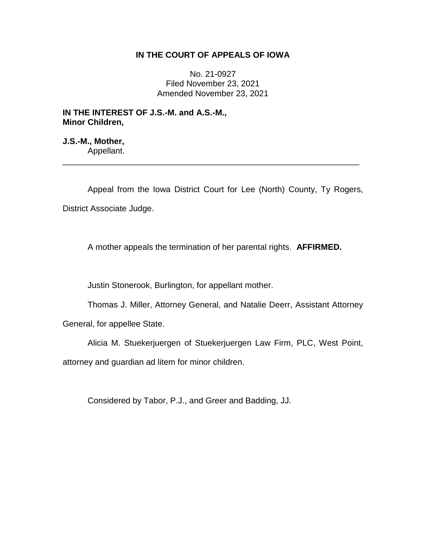# **IN THE COURT OF APPEALS OF IOWA**

No. 21-0927 Filed November 23, 2021 Amended November 23, 2021

**IN THE INTEREST OF J.S.-M. and A.S.-M., Minor Children,**

**J.S.-M., Mother,** Appellant.

Appeal from the Iowa District Court for Lee (North) County, Ty Rogers, District Associate Judge.

\_\_\_\_\_\_\_\_\_\_\_\_\_\_\_\_\_\_\_\_\_\_\_\_\_\_\_\_\_\_\_\_\_\_\_\_\_\_\_\_\_\_\_\_\_\_\_\_\_\_\_\_\_\_\_\_\_\_\_\_\_\_\_\_

A mother appeals the termination of her parental rights. **AFFIRMED.** 

Justin Stonerook, Burlington, for appellant mother.

Thomas J. Miller, Attorney General, and Natalie Deerr, Assistant Attorney

General, for appellee State.

Alicia M. Stuekerjuergen of Stuekerjuergen Law Firm, PLC, West Point, attorney and guardian ad litem for minor children.

Considered by Tabor, P.J., and Greer and Badding, JJ.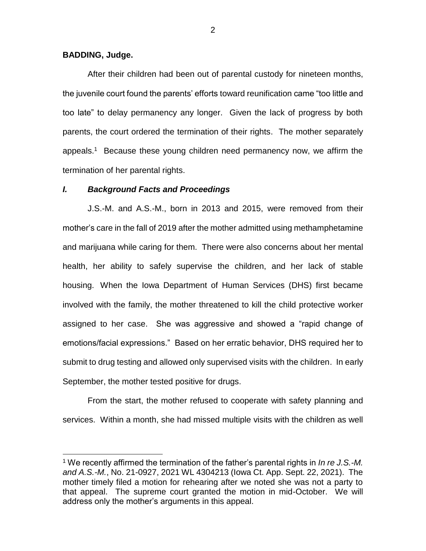# **BADDING, Judge.**

 $\overline{a}$ 

After their children had been out of parental custody for nineteen months, the juvenile court found the parents' efforts toward reunification came "too little and too late" to delay permanency any longer. Given the lack of progress by both parents, the court ordered the termination of their rights. The mother separately appeals.<sup>1</sup> Because these young children need permanency now, we affirm the termination of her parental rights.

### *I. Background Facts and Proceedings*

J.S.-M. and A.S.-M., born in 2013 and 2015, were removed from their mother's care in the fall of 2019 after the mother admitted using methamphetamine and marijuana while caring for them. There were also concerns about her mental health, her ability to safely supervise the children, and her lack of stable housing. When the Iowa Department of Human Services (DHS) first became involved with the family, the mother threatened to kill the child protective worker assigned to her case. She was aggressive and showed a "rapid change of emotions/facial expressions." Based on her erratic behavior, DHS required her to submit to drug testing and allowed only supervised visits with the children. In early September, the mother tested positive for drugs.

From the start, the mother refused to cooperate with safety planning and services. Within a month, she had missed multiple visits with the children as well

2

<sup>1</sup> We recently affirmed the termination of the father's parental rights in *In re J.S.-M. and A.S.-M.*, No. 21-0927, 2021 WL 4304213 (Iowa Ct. App. Sept. 22, 2021). The mother timely filed a motion for rehearing after we noted she was not a party to that appeal. The supreme court granted the motion in mid-October. We will address only the mother's arguments in this appeal.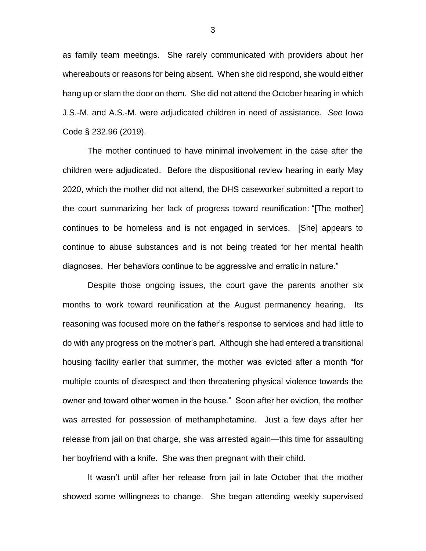as family team meetings. She rarely communicated with providers about her whereabouts or reasons for being absent. When she did respond, she would either hang up or slam the door on them. She did not attend the October hearing in which J.S.-M. and A.S.-M. were adjudicated children in need of assistance. *See* Iowa Code § 232.96 (2019).

The mother continued to have minimal involvement in the case after the children were adjudicated. Before the dispositional review hearing in early May 2020, which the mother did not attend, the DHS caseworker submitted a report to the court summarizing her lack of progress toward reunification: "[The mother] continues to be homeless and is not engaged in services. [She] appears to continue to abuse substances and is not being treated for her mental health diagnoses. Her behaviors continue to be aggressive and erratic in nature."

Despite those ongoing issues, the court gave the parents another six months to work toward reunification at the August permanency hearing. Its reasoning was focused more on the father's response to services and had little to do with any progress on the mother's part. Although she had entered a transitional housing facility earlier that summer, the mother was evicted after a month "for multiple counts of disrespect and then threatening physical violence towards the owner and toward other women in the house." Soon after her eviction, the mother was arrested for possession of methamphetamine. Just a few days after her release from jail on that charge, she was arrested again—this time for assaulting her boyfriend with a knife. She was then pregnant with their child.

It wasn't until after her release from jail in late October that the mother showed some willingness to change. She began attending weekly supervised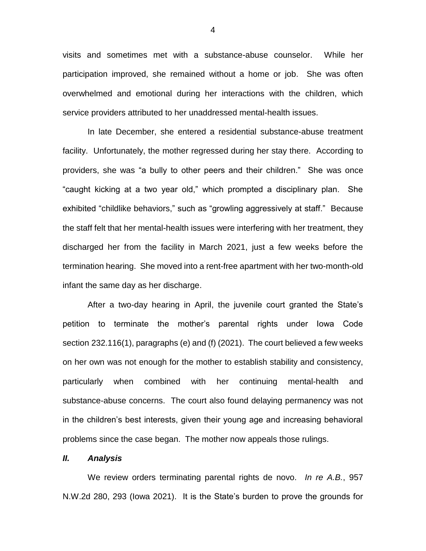visits and sometimes met with a substance-abuse counselor. While her participation improved, she remained without a home or job. She was often overwhelmed and emotional during her interactions with the children, which service providers attributed to her unaddressed mental-health issues.

In late December, she entered a residential substance-abuse treatment facility. Unfortunately, the mother regressed during her stay there. According to providers, she was "a bully to other peers and their children." She was once "caught kicking at a two year old," which prompted a disciplinary plan. She exhibited "childlike behaviors," such as "growling aggressively at staff." Because the staff felt that her mental-health issues were interfering with her treatment, they discharged her from the facility in March 2021, just a few weeks before the termination hearing. She moved into a rent-free apartment with her two-month-old infant the same day as her discharge.

After a two-day hearing in April, the juvenile court granted the State's petition to terminate the mother's parental rights under Iowa Code section 232.116(1), paragraphs (e) and (f) (2021). The court believed a few weeks on her own was not enough for the mother to establish stability and consistency, particularly when combined with her continuing mental-health and substance-abuse concerns. The court also found delaying permanency was not in the children's best interests, given their young age and increasing behavioral problems since the case began. The mother now appeals those rulings.

### *II. Analysis*

We review orders terminating parental rights de novo. *In re A.B.*, 957 N.W.2d 280, 293 (Iowa 2021). It is the State's burden to prove the grounds for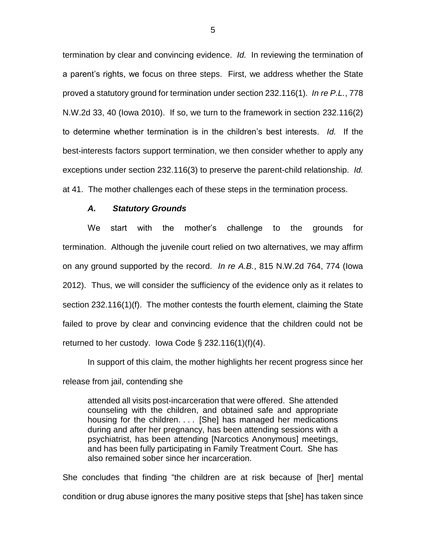termination by clear and convincing evidence. *Id.* In reviewing the termination of a parent's rights, we focus on three steps. First, we address whether the State proved a statutory ground for termination under section 232.116(1). *In re P.L.*, 778 N.W.2d 33, 40 (Iowa 2010). If so, we turn to the framework in section 232.116(2) to determine whether termination is in the children's best interests. *Id.* If the best-interests factors support termination, we then consider whether to apply any exceptions under section 232.116(3) to preserve the parent-child relationship. *Id.* at 41. The mother challenges each of these steps in the termination process.

#### *A. Statutory Grounds*

We start with the mother's challenge to the grounds for termination. Although the juvenile court relied on two alternatives, we may affirm on any ground supported by the record. *In re A.B.*, 815 N.W.2d 764, 774 (Iowa 2012). Thus, we will consider the sufficiency of the evidence only as it relates to section 232.116(1)(f). The mother contests the fourth element, claiming the State failed to prove by clear and convincing evidence that the children could not be returned to her custody. Iowa Code  $\S$  232.116(1)(f)(4).

In support of this claim, the mother highlights her recent progress since her release from jail, contending she

attended all visits post-incarceration that were offered. She attended counseling with the children, and obtained safe and appropriate housing for the children. . . . [She] has managed her medications during and after her pregnancy, has been attending sessions with a psychiatrist, has been attending [Narcotics Anonymous] meetings, and has been fully participating in Family Treatment Court. She has also remained sober since her incarceration.

She concludes that finding "the children are at risk because of [her] mental condition or drug abuse ignores the many positive steps that [she] has taken since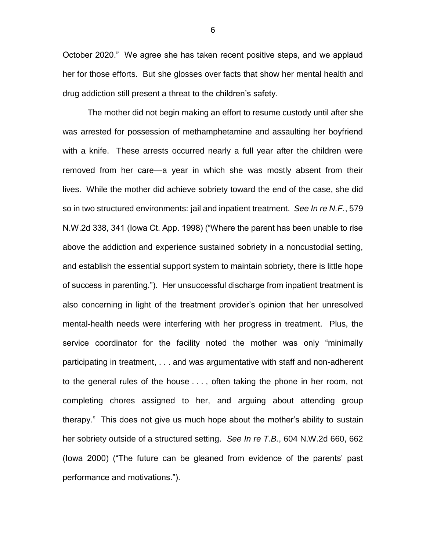October 2020." We agree she has taken recent positive steps, and we applaud her for those efforts. But she glosses over facts that show her mental health and drug addiction still present a threat to the children's safety.

The mother did not begin making an effort to resume custody until after she was arrested for possession of methamphetamine and assaulting her boyfriend with a knife. These arrests occurred nearly a full year after the children were removed from her care—a year in which she was mostly absent from their lives. While the mother did achieve sobriety toward the end of the case, she did so in two structured environments: jail and inpatient treatment. *See In re N.F.*, 579 N.W.2d 338, 341 (Iowa Ct. App. 1998) ("Where the parent has been unable to rise above the addiction and experience sustained sobriety in a noncustodial setting, and establish the essential support system to maintain sobriety, there is little hope of success in parenting."). Her unsuccessful discharge from inpatient treatment is also concerning in light of the treatment provider's opinion that her unresolved mental-health needs were interfering with her progress in treatment. Plus, the service coordinator for the facility noted the mother was only "minimally participating in treatment, . . . and was argumentative with staff and non-adherent to the general rules of the house . . . , often taking the phone in her room, not completing chores assigned to her, and arguing about attending group therapy." This does not give us much hope about the mother's ability to sustain her sobriety outside of a structured setting. *See In re T.B.*, 604 N.W.2d 660, 662 (Iowa 2000) ("The future can be gleaned from evidence of the parents' past performance and motivations.").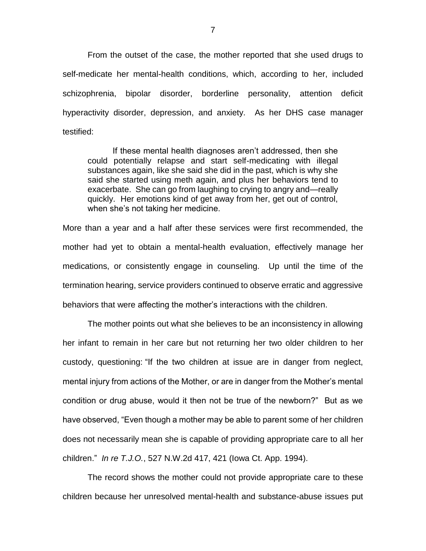From the outset of the case, the mother reported that she used drugs to self-medicate her mental-health conditions, which, according to her, included schizophrenia, bipolar disorder, borderline personality, attention deficit hyperactivity disorder, depression, and anxiety. As her DHS case manager testified:

If these mental health diagnoses aren't addressed, then she could potentially relapse and start self-medicating with illegal substances again, like she said she did in the past, which is why she said she started using meth again, and plus her behaviors tend to exacerbate. She can go from laughing to crying to angry and—really quickly. Her emotions kind of get away from her, get out of control, when she's not taking her medicine.

More than a year and a half after these services were first recommended, the mother had yet to obtain a mental-health evaluation, effectively manage her medications, or consistently engage in counseling. Up until the time of the termination hearing, service providers continued to observe erratic and aggressive behaviors that were affecting the mother's interactions with the children.

The mother points out what she believes to be an inconsistency in allowing her infant to remain in her care but not returning her two older children to her custody, questioning: "If the two children at issue are in danger from neglect, mental injury from actions of the Mother, or are in danger from the Mother's mental condition or drug abuse, would it then not be true of the newborn?" But as we have observed, "Even though a mother may be able to parent some of her children does not necessarily mean she is capable of providing appropriate care to all her children." *In re T.J.O.*, 527 N.W.2d 417, 421 (Iowa Ct. App. 1994).

The record shows the mother could not provide appropriate care to these children because her unresolved mental-health and substance-abuse issues put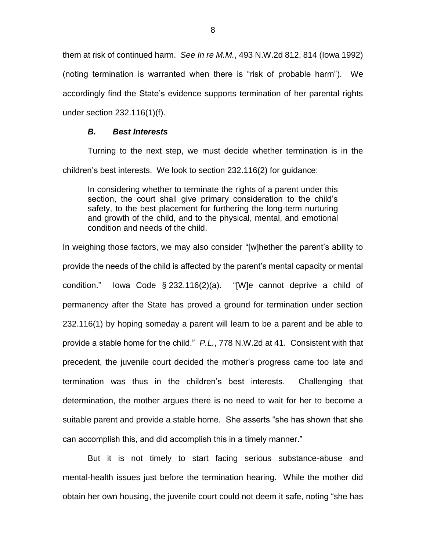them at risk of continued harm. *See In re M.M.*, 493 N.W.2d 812, 814 (Iowa 1992) (noting termination is warranted when there is "risk of probable harm"). We accordingly find the State's evidence supports termination of her parental rights under section 232.116(1)(f).

# *B. Best Interests*

Turning to the next step, we must decide whether termination is in the children's best interests. We look to section 232.116(2) for guidance:

In considering whether to terminate the rights of a parent under this section, the court shall give primary consideration to the child's safety, to the best placement for furthering the long-term nurturing and growth of the child, and to the physical, mental, and emotional condition and needs of the child.

In weighing those factors, we may also consider "[w]hether the parent's ability to provide the needs of the child is affected by the parent's mental capacity or mental condition." Iowa Code § 232.116(2)(a). "[W]e cannot deprive a child of permanency after the State has proved a ground for termination under section 232.116(1) by hoping someday a parent will learn to be a parent and be able to provide a stable home for the child." *P.L.*, 778 N.W.2d at 41. Consistent with that precedent, the juvenile court decided the mother's progress came too late and termination was thus in the children's best interests. Challenging that determination, the mother argues there is no need to wait for her to become a suitable parent and provide a stable home. She asserts "she has shown that she can accomplish this, and did accomplish this in a timely manner."

But it is not timely to start facing serious substance-abuse and mental-health issues just before the termination hearing. While the mother did obtain her own housing, the juvenile court could not deem it safe, noting "she has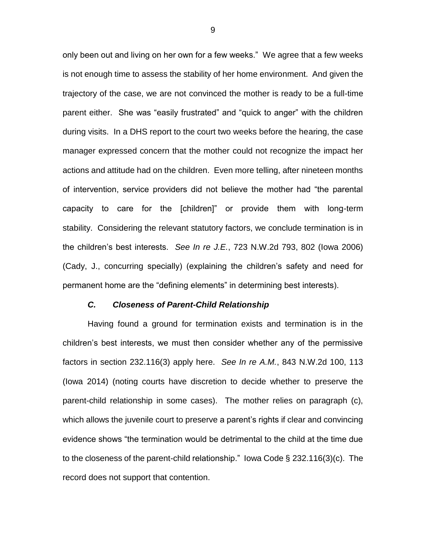only been out and living on her own for a few weeks." We agree that a few weeks is not enough time to assess the stability of her home environment. And given the trajectory of the case, we are not convinced the mother is ready to be a full-time parent either. She was "easily frustrated" and "quick to anger" with the children during visits. In a DHS report to the court two weeks before the hearing, the case manager expressed concern that the mother could not recognize the impact her actions and attitude had on the children. Even more telling, after nineteen months of intervention, service providers did not believe the mother had "the parental capacity to care for the [children]" or provide them with long-term stability. Considering the relevant statutory factors, we conclude termination is in the children's best interests. *See In re J.E.*, 723 N.W.2d 793, 802 (Iowa 2006) (Cady, J., concurring specially) (explaining the children's safety and need for permanent home are the "defining elements" in determining best interests).

# *C. Closeness of Parent-Child Relationship*

Having found a ground for termination exists and termination is in the children's best interests, we must then consider whether any of the permissive factors in section 232.116(3) apply here. *See In re A.M.*, 843 N.W.2d 100, 113 (Iowa 2014) (noting courts have discretion to decide whether to preserve the parent-child relationship in some cases). The mother relies on paragraph (c), which allows the juvenile court to preserve a parent's rights if clear and convincing evidence shows "the termination would be detrimental to the child at the time due to the closeness of the parent-child relationship." Iowa Code § 232.116(3)(c). The record does not support that contention.

9